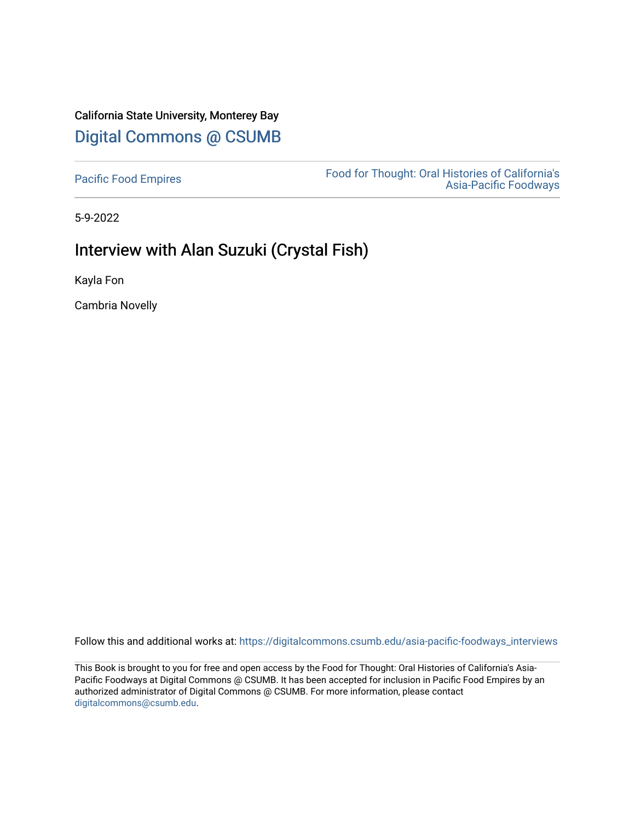# California State University, Monterey Bay [Digital Commons @ CSUMB](https://digitalcommons.csumb.edu/)

[Pacific Food Empires](https://digitalcommons.csumb.edu/asia-pacific-foodways_interviews) Food for Thought: Oral Histories of California's [Asia-Pacific Foodways](https://digitalcommons.csumb.edu/asia-pacific-foodways) 

5-9-2022

# Interview with Alan Suzuki (Crystal Fish)

Kayla Fon

Cambria Novelly

Follow this and additional works at: [https://digitalcommons.csumb.edu/asia-pacific-foodways\\_interviews](https://digitalcommons.csumb.edu/asia-pacific-foodways_interviews?utm_source=digitalcommons.csumb.edu%2Fasia-pacific-foodways_interviews%2F22&utm_medium=PDF&utm_campaign=PDFCoverPages) 

This Book is brought to you for free and open access by the Food for Thought: Oral Histories of California's Asia-Pacific Foodways at Digital Commons @ CSUMB. It has been accepted for inclusion in Pacific Food Empires by an authorized administrator of Digital Commons @ CSUMB. For more information, please contact [digitalcommons@csumb.edu](mailto:digitalcommons@csumb.edu).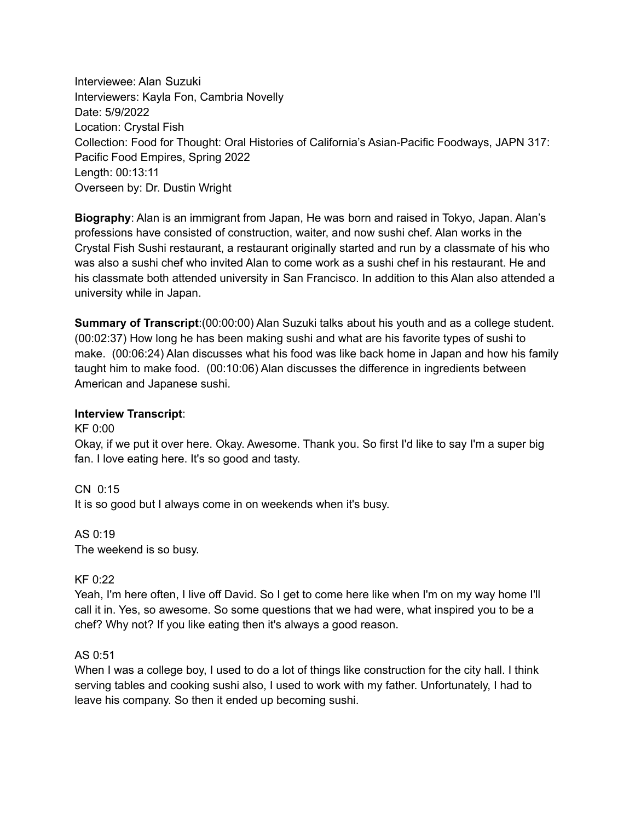Interviewee: Alan Suzuki Interviewers: Kayla Fon, Cambria Novelly Date: 5/9/2022 Location: Crystal Fish Collection: Food for Thought: Oral Histories of California's Asian-Pacific Foodways, JAPN 317: Pacific Food Empires, Spring 2022 Length: 00:13:11 Overseen by: Dr. Dustin Wright

**Biography**: Alan is an immigrant from Japan, He was born and raised in Tokyo, Japan. Alan's professions have consisted of construction, waiter, and now sushi chef. Alan works in the Crystal Fish Sushi restaurant, a restaurant originally started and run by a classmate of his who was also a sushi chef who invited Alan to come work as a sushi chef in his restaurant. He and his classmate both attended university in San Francisco. In addition to this Alan also attended a university while in Japan.

**Summary of Transcript**:(00:00:00) Alan Suzuki talks about his youth and as a college student. (00:02:37) How long he has been making sushi and what are his favorite types of sushi to make. (00:06:24) Alan discusses what his food was like back home in Japan and how his family taught him to make food. (00:10:06) Alan discusses the difference in ingredients between American and Japanese sushi.

#### **Interview Transcript**:

KF 0:00 Okay, if we put it over here. Okay. Awesome. Thank you. So first I'd like to say I'm a super big fan. I love eating here. It's so good and tasty.

CN 0:15 It is so good but I always come in on weekends when it's busy.

AS 0:19 The weekend is so busy.

## KF 0:22

Yeah, I'm here often, I live off David. So I get to come here like when I'm on my way home I'll call it in. Yes, so awesome. So some questions that we had were, what inspired you to be a chef? Why not? If you like eating then it's always a good reason.

#### AS 0:51

When I was a college boy, I used to do a lot of things like construction for the city hall. I think serving tables and cooking sushi also, I used to work with my father. Unfortunately, I had to leave his company. So then it ended up becoming sushi.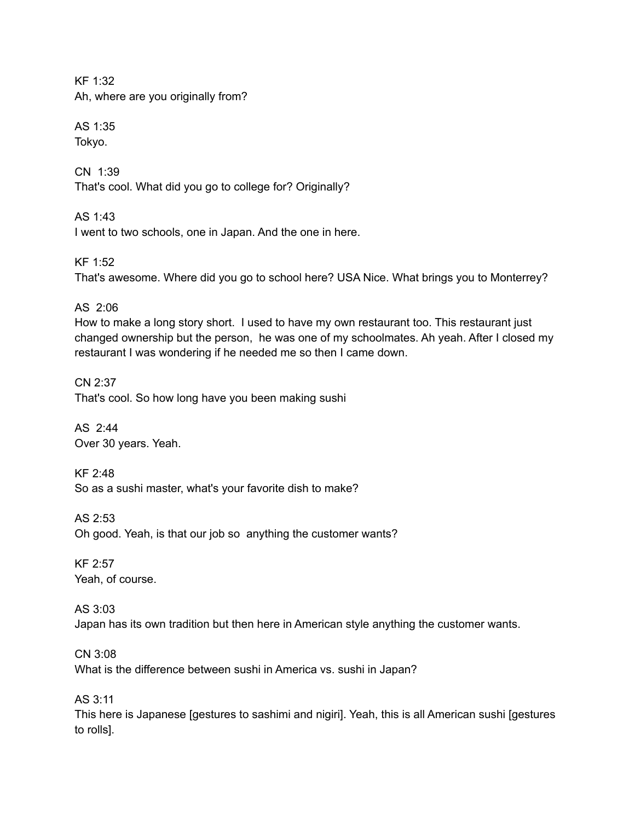KF 1:32 Ah, where are you originally from?

AS 1:35 Tokyo.

CN 1:39 That's cool. What did you go to college for? Originally?

AS 1:43 I went to two schools, one in Japan. And the one in here.

KF 1:52 That's awesome. Where did you go to school here? USA Nice. What brings you to Monterrey?

AS 2:06

How to make a long story short. I used to have my own restaurant too. This restaurant just changed ownership but the person, he was one of my schoolmates. Ah yeah. After I closed my restaurant I was wondering if he needed me so then I came down.

CN 2:37 That's cool. So how long have you been making sushi

AS 2:44 Over 30 years. Yeah.

KF 2:48 So as a sushi master, what's your favorite dish to make?

AS 2:53 Oh good. Yeah, is that our job so anything the customer wants?

KF 2:57 Yeah, of course.

AS 3:03 Japan has its own tradition but then here in American style anything the customer wants.

CN 3:08 What is the difference between sushi in America vs. sushi in Japan?

AS 3:11

This here is Japanese [gestures to sashimi and nigiri]. Yeah, this is all American sushi [gestures to rolls].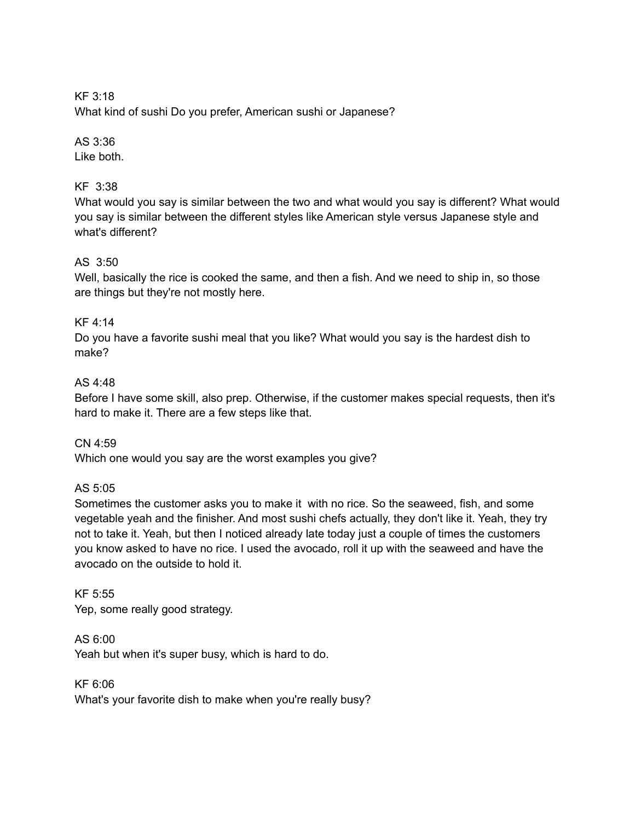KF 3:18 What kind of sushi Do you prefer, American sushi or Japanese?

## AS 3:36

Like both.

# KF 3:38

What would you say is similar between the two and what would you say is different? What would you say is similar between the different styles like American style versus Japanese style and what's different?

# AS 3:50

Well, basically the rice is cooked the same, and then a fish. And we need to ship in, so those are things but they're not mostly here.

# KF 4:14

Do you have a favorite sushi meal that you like? What would you say is the hardest dish to make?

# AS 4:48

Before I have some skill, also prep. Otherwise, if the customer makes special requests, then it's hard to make it. There are a few steps like that.

## CN 4:59

Which one would you say are the worst examples you give?

## AS 5:05

Sometimes the customer asks you to make it with no rice. So the seaweed, fish, and some vegetable yeah and the finisher. And most sushi chefs actually, they don't like it. Yeah, they try not to take it. Yeah, but then I noticed already late today just a couple of times the customers you know asked to have no rice. I used the avocado, roll it up with the seaweed and have the avocado on the outside to hold it.

KF 5:55 Yep, some really good strategy.

AS 6:00 Yeah but when it's super busy, which is hard to do.

KF 6:06 What's your favorite dish to make when you're really busy?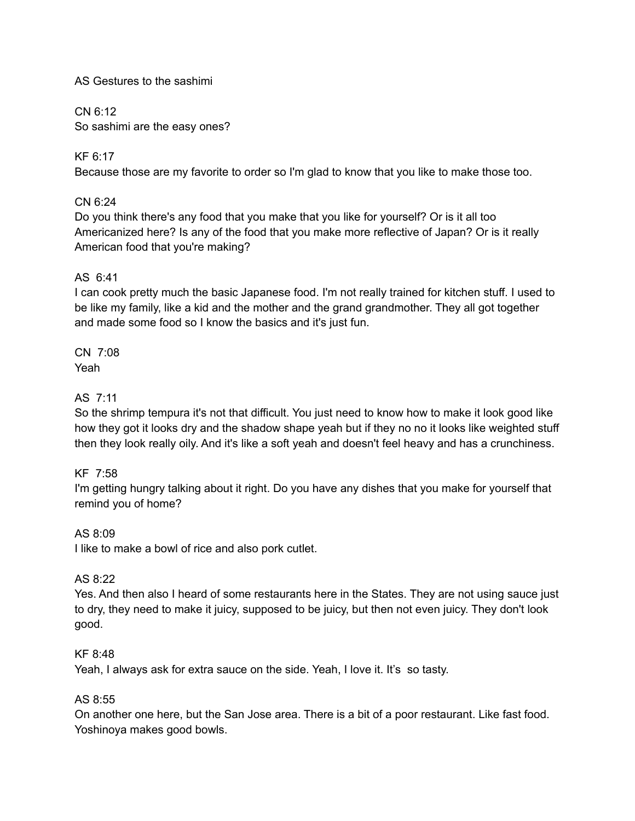### AS Gestures to the sashimi

CN 6:12 So sashimi are the easy ones?

KF 6:17 Because those are my favorite to order so I'm glad to know that you like to make those too.

## CN 6:24

Do you think there's any food that you make that you like for yourself? Or is it all too Americanized here? Is any of the food that you make more reflective of Japan? Or is it really American food that you're making?

#### AS 6:41

I can cook pretty much the basic Japanese food. I'm not really trained for kitchen stuff. I used to be like my family, like a kid and the mother and the grand grandmother. They all got together and made some food so I know the basics and it's just fun.

CN 7:08 Yeah

### AS 7:11

So the shrimp tempura it's not that difficult. You just need to know how to make it look good like how they got it looks dry and the shadow shape yeah but if they no no it looks like weighted stuff then they look really oily. And it's like a soft yeah and doesn't feel heavy and has a crunchiness.

#### KF 7:58

I'm getting hungry talking about it right. Do you have any dishes that you make for yourself that remind you of home?

#### AS 8:09

I like to make a bowl of rice and also pork cutlet.

#### AS 8:22

Yes. And then also I heard of some restaurants here in the States. They are not using sauce just to dry, they need to make it juicy, supposed to be juicy, but then not even juicy. They don't look good.

#### KF 8:48

Yeah, I always ask for extra sauce on the side. Yeah, I love it. It's so tasty.

#### AS 8:55

On another one here, but the San Jose area. There is a bit of a poor restaurant. Like fast food. Yoshinoya makes good bowls.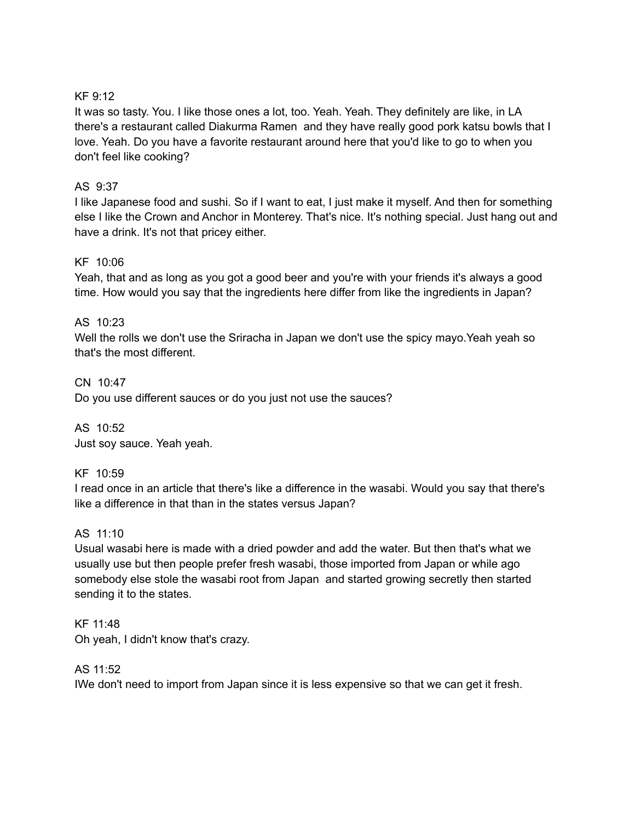## KF 9:12

It was so tasty. You. I like those ones a lot, too. Yeah. Yeah. They definitely are like, in LA there's a restaurant called Diakurma Ramen and they have really good pork katsu bowls that I love. Yeah. Do you have a favorite restaurant around here that you'd like to go to when you don't feel like cooking?

## AS 9:37

I like Japanese food and sushi. So if I want to eat, I just make it myself. And then for something else I like the Crown and Anchor in Monterey. That's nice. It's nothing special. Just hang out and have a drink. It's not that pricey either.

## KF 10:06

Yeah, that and as long as you got a good beer and you're with your friends it's always a good time. How would you say that the ingredients here differ from like the ingredients in Japan?

# AS 10:23

Well the rolls we don't use the Sriracha in Japan we don't use the spicy mayo.Yeah yeah so that's the most different.

CN 10:47 Do you use different sauces or do you just not use the sauces?

AS 10:52 Just soy sauce. Yeah yeah.

# KF 10:59

I read once in an article that there's like a difference in the wasabi. Would you say that there's like a difference in that than in the states versus Japan?

## AS 11:10

Usual wasabi here is made with a dried powder and add the water. But then that's what we usually use but then people prefer fresh wasabi, those imported from Japan or while ago somebody else stole the wasabi root from Japan and started growing secretly then started sending it to the states.

# KF 11:48

Oh yeah, I didn't know that's crazy.

# AS 11:52

IWe don't need to import from Japan since it is less expensive so that we can get it fresh.